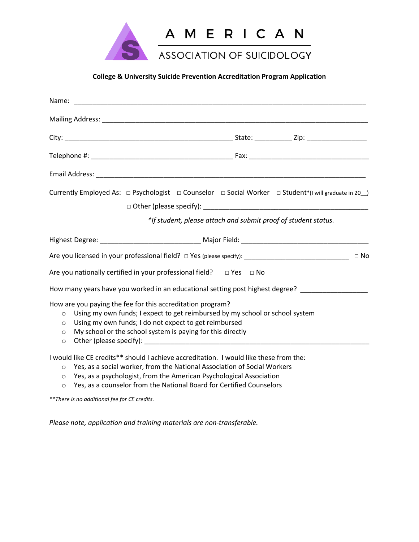

# **College & University Suicide Prevention Accreditation Program Application**

| Currently Employed As: $\Box$ Psychologist $\Box$ Counselor $\Box$ Social Worker $\Box$ Student*(I will graduate in 20 )<br>*If student, please attach and submit proof of student status.                                                                                                                    |           |
|---------------------------------------------------------------------------------------------------------------------------------------------------------------------------------------------------------------------------------------------------------------------------------------------------------------|-----------|
|                                                                                                                                                                                                                                                                                                               |           |
|                                                                                                                                                                                                                                                                                                               | $\Box$ No |
| Are you nationally certified in your professional field? $\Box$ Yes $\Box$ No                                                                                                                                                                                                                                 |           |
| How many years have you worked in an educational setting post highest degree? _____________________                                                                                                                                                                                                           |           |
| How are you paying the fee for this accreditation program?<br>Using my own funds; I expect to get reimbursed by my school or school system<br>$\circ$<br>Using my own funds; I do not expect to get reimbursed<br>$\circ$<br>My school or the school system is paying for this directly<br>$\circ$<br>$\circ$ |           |
| I would like CE credits** should I achieve accreditation. I would like these from the:                                                                                                                                                                                                                        |           |

- o Yes, as a social worker, from the National Association of Social Workers
- o Yes, as a psychologist, from the American Psychological Association
- o Yes, as a counselor from the National Board for Certified Counselors

*\*\*There is no additional fee for CE credits.*

*Please note, application and training materials are non-transferable.*